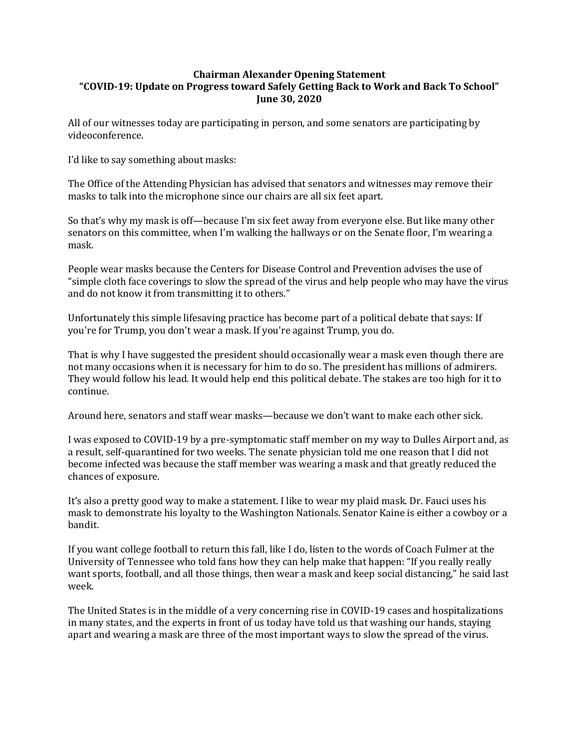## **Chairman Alexander Opening Statement "COVID-19: Update on Progress toward Safely Getting Back to Work and Back To School" June 30, 2020**

All of our witnesses today are participating in person, and some senators are participating by videoconference.

I'd like to say something about masks:

The Office of the Attending Physician has advised that senators and witnesses may remove their masks to talk into the microphone since our chairs are all six feet apart.

So that's why my mask is off—because I'm six feet away from everyone else. But like many other senators on this committee, when I'm walking the hallways or on the Senate floor, I'm wearing a mask.

People wear masks because the Centers for Disease Control and Prevention advises the use of "simple cloth face coverings to slow the spread of the virus and help people who may have the virus and do not know it from transmitting it to others."

Unfortunately this simple lifesaving practice has become part of a political debate that says: If you're for Trump, you don't wear a mask. If you're against Trump, you do.

That is why I have suggested the president should occasionally wear a mask even though there are not many occasions when it is necessary for him to do so. The president has millions of admirers. They would follow his lead. It would help end this political debate. The stakes are too high for it to continue.

Around here, senators and staff wear masks—because we don't want to make each other sick.

I was exposed to COVID-19 by a pre-symptomatic staff member on my way to Dulles Airport and, as a result, self-quarantined for two weeks. The senate physician told me one reason that I did not become infected was because the staff member was wearing a mask and that greatly reduced the chances of exposure.

It's also a pretty good way to make a statement. I like to wear my plaid mask. Dr. Fauci uses his mask to demonstrate his loyalty to the Washington Nationals. Senator Kaine is either a cowboy or a bandit.

If you want college football to return this fall, like I do, listen to the words of Coach Fulmer at the University of Tennessee who told fans how they can help make that happen: "If you really really want sports, football, and all those things, then wear a mask and keep social distancing," he said last week.

The United States is in the middle of a very concerning rise in COVID-19 cases and hospitalizations in many states, and the experts in front of us today have told us that washing our hands, staying apart and wearing a mask are three of the most important ways to slow the spread of the virus.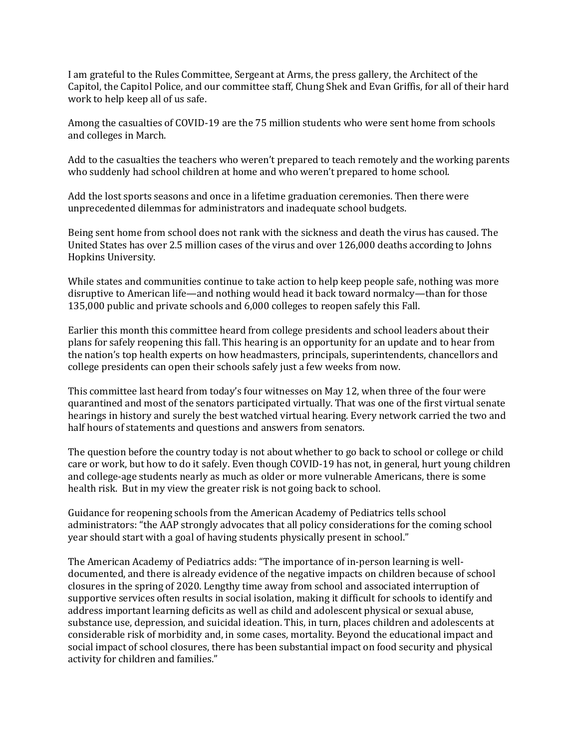I am grateful to the Rules Committee, Sergeant at Arms, the press gallery, the Architect of the Capitol, the Capitol Police, and our committee staff, Chung Shek and Evan Griffis, for all of their hard work to help keep all of us safe.

Among the casualties of COVID-19 are the 75 million students who were sent home from schools and colleges in March.

Add to the casualties the teachers who weren't prepared to teach remotely and the working parents who suddenly had school children at home and who weren't prepared to home school.

Add the lost sports seasons and once in a lifetime graduation ceremonies. Then there were unprecedented dilemmas for administrators and inadequate school budgets.

Being sent home from school does not rank with the sickness and death the virus has caused. The United States has over 2.5 million cases of the virus and over 126,000 deaths according to Johns Hopkins University.

While states and communities continue to take action to help keep people safe, nothing was more disruptive to American life—and nothing would head it back toward normalcy—than for those 135,000 public and private schools and 6,000 colleges to reopen safely this Fall.

Earlier this month this committee heard from college presidents and school leaders about their plans for safely reopening this fall. This hearing is an opportunity for an update and to hear from the nation's top health experts on how headmasters, principals, superintendents, chancellors and college presidents can open their schools safely just a few weeks from now.

This committee last heard from today's four witnesses on May 12, when three of the four were quarantined and most of the senators participated virtually. That was one of the first virtual senate hearings in history and surely the best watched virtual hearing. Every network carried the two and half hours of statements and questions and answers from senators.

The question before the country today is not about whether to go back to school or college or child care or work, but how to do it safely. Even though COVID-19 has not, in general, hurt young children and college-age students nearly as much as older or more vulnerable Americans, there is some health risk. But in my view the greater risk is not going back to school.

Guidance for reopening schools from the American Academy of Pediatrics tells school administrators: "the AAP strongly advocates that all policy considerations for the coming school year should start with a goal of having students physically present in school."

The American Academy of Pediatrics adds: "The importance of in-person learning is welldocumented, and there is already evidence of the negative impacts on children because of school closures in the spring of 2020. Lengthy time away from school and associated interruption of supportive services often results in social isolation, making it difficult for schools to identify and address important learning deficits as well as child and adolescent physical or sexual abuse, substance use, depression, and suicidal ideation. This, in turn, places children and adolescents at considerable risk of morbidity and, in some cases, mortality. Beyond the educational impact and social impact of school closures, there has been substantial impact on food security and physical activity for children and families."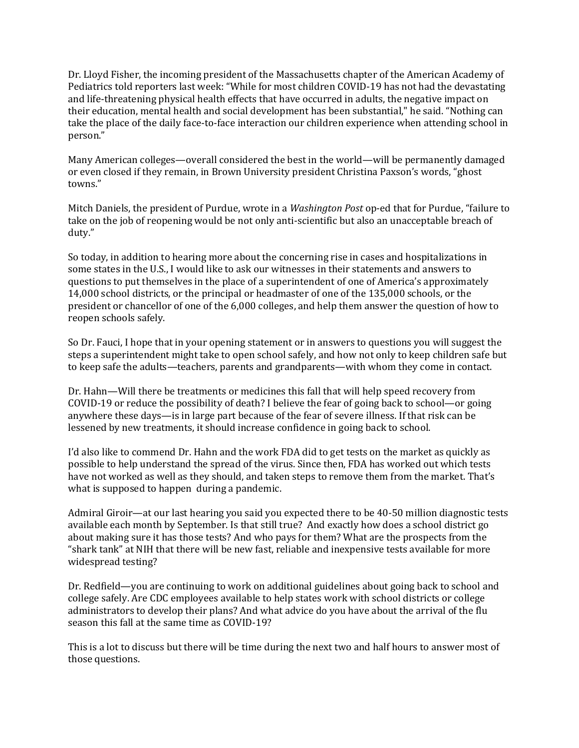Dr. Lloyd Fisher, the incoming president of the Massachusetts chapter of the American Academy of Pediatrics told reporters last week: "While for most children COVID-19 has not had the devastating and life-threatening physical health effects that have occurred in adults, the negative impact on their education, mental health and social development has been substantial," he said. "Nothing can take the place of the daily face-to-face interaction our children experience when attending school in person."

Many American colleges—overall considered the best in the world—will be permanently damaged or even closed if they remain, in Brown University president Christina Paxson's words, "ghost towns."

Mitch Daniels, the president of Purdue, wrote in a *Washington Post* op-ed that for Purdue, "failure to take on the job of reopening would be not only anti-scientific but also an unacceptable breach of duty."

So today, in addition to hearing more about the concerning rise in cases and hospitalizations in some states in the U.S., I would like to ask our witnesses in their statements and answers to questions to put themselves in the place of a superintendent of one of America's approximately 14,000 school districts, or the principal or headmaster of one of the 135,000 schools, or the president or chancellor of one of the 6,000 colleges, and help them answer the question of how to reopen schools safely.

So Dr. Fauci, I hope that in your opening statement or in answers to questions you will suggest the steps a superintendent might take to open school safely, and how not only to keep children safe but to keep safe the adults—teachers, parents and grandparents—with whom they come in contact.

Dr. Hahn—Will there be treatments or medicines this fall that will help speed recovery from COVID-19 or reduce the possibility of death? I believe the fear of going back to school—or going anywhere these days—is in large part because of the fear of severe illness. If that risk can be lessened by new treatments, it should increase confidence in going back to school.

I'd also like to commend Dr. Hahn and the work FDA did to get tests on the market as quickly as possible to help understand the spread of the virus. Since then, FDA has worked out which tests have not worked as well as they should, and taken steps to remove them from the market. That's what is supposed to happen during a pandemic.

Admiral Giroir—at our last hearing you said you expected there to be 40-50 million diagnostic tests available each month by September. Is that still true? And exactly how does a school district go about making sure it has those tests? And who pays for them? What are the prospects from the "shark tank" at NIH that there will be new fast, reliable and inexpensive tests available for more widespread testing?

Dr. Redfield—you are continuing to work on additional guidelines about going back to school and college safely. Are CDC employees available to help states work with school districts or college administrators to develop their plans? And what advice do you have about the arrival of the flu season this fall at the same time as COVID-19?

This is a lot to discuss but there will be time during the next two and half hours to answer most of those questions.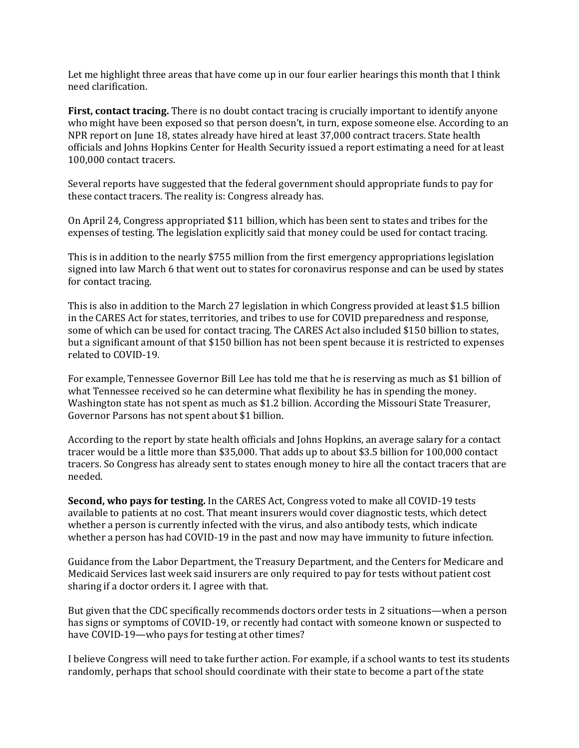Let me highlight three areas that have come up in our four earlier hearings this month that I think need clarification.

**First, contact tracing.** There is no doubt contact tracing is crucially important to identify anyone who might have been exposed so that person doesn't, in turn, expose someone else. According to an NPR report on June 18, states already have hired at least 37,000 contract tracers. State health officials and Johns Hopkins Center for Health Security issued a report estimating a need for at least 100,000 contact tracers.

Several reports have suggested that the federal government should appropriate funds to pay for these contact tracers. The reality is: Congress already has.

On April 24, Congress appropriated \$11 billion, which has been sent to states and tribes for the expenses of testing. The legislation explicitly said that money could be used for contact tracing.

This is in addition to the nearly \$755 million from the first emergency appropriations legislation signed into law March 6 that went out to states for coronavirus response and can be used by states for contact tracing.

This is also in addition to the March 27 legislation in which Congress provided at least \$1.5 billion in the CARES Act for states, territories, and tribes to use for COVID preparedness and response, some of which can be used for contact tracing. The CARES Act also included \$150 billion to states, but a significant amount of that \$150 billion has not been spent because it is restricted to expenses related to COVID-19.

For example, Tennessee Governor Bill Lee has told me that he is reserving as much as \$1 billion of what Tennessee received so he can determine what flexibility he has in spending the money. Washington state has not spent as much as \$1.2 billion. According the Missouri State Treasurer, Governor Parsons has not spent about \$1 billion.

According to the report by state health officials and Johns Hopkins, an average salary for a contact tracer would be a little more than \$35,000. That adds up to about \$3.5 billion for 100,000 contact tracers. So Congress has already sent to states enough money to hire all the contact tracers that are needed.

**Second, who pays for testing.** In the CARES Act, Congress voted to make all COVID-19 tests available to patients at no cost. That meant insurers would cover diagnostic tests, which detect whether a person is currently infected with the virus, and also antibody tests, which indicate whether a person has had COVID-19 in the past and now may have immunity to future infection.

Guidance from the Labor Department, the Treasury Department, and the Centers for Medicare and Medicaid Services last week said insurers are only required to pay for tests without patient cost sharing if a doctor orders it. I agree with that.

But given that the CDC specifically recommends doctors order tests in 2 situations—when a person has signs or symptoms of COVID-19, or recently had contact with someone known or suspected to have COVID-19—who pays for testing at other times?

I believe Congress will need to take further action. For example, if a school wants to test its students randomly, perhaps that school should coordinate with their state to become a part of the state